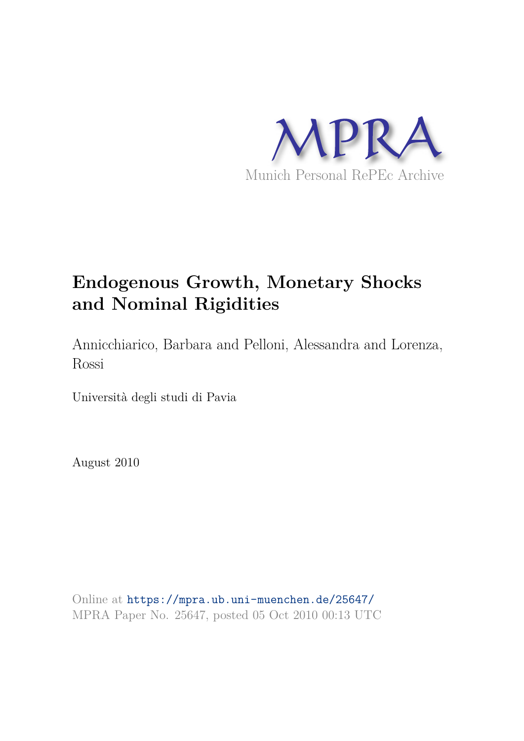

# **Endogenous Growth, Monetary Shocks and Nominal Rigidities**

Annicchiarico, Barbara and Pelloni, Alessandra and Lorenza, Rossi

Università degli studi di Pavia

August 2010

Online at https://mpra.ub.uni-muenchen.de/25647/ MPRA Paper No. 25647, posted 05 Oct 2010 00:13 UTC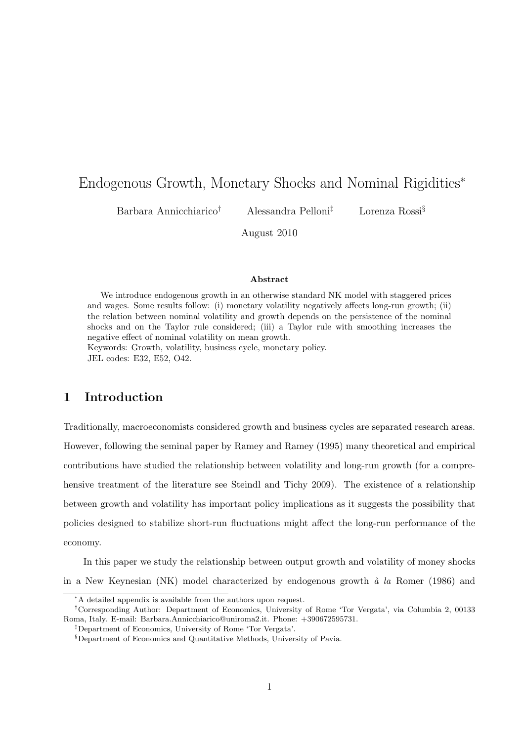## Endogenous Growth, Monetary Shocks and Nominal Rigidities<sup>∗</sup>

Barbara Annicchiarico† Alessandra Pelloni‡ Lorenza Rossi§

August 2010

## Abstract

We introduce endogenous growth in an otherwise standard NK model with staggered prices and wages. Some results follow: (i) monetary volatility negatively affects long-run growth; (ii) the relation between nominal volatility and growth depends on the persistence of the nominal shocks and on the Taylor rule considered; (iii) a Taylor rule with smoothing increases the negative effect of nominal volatility on mean growth.

Keywords: Growth, volatility, business cycle, monetary policy. JEL codes: E32, E52, O42.

## 1 Introduction

Traditionally, macroeconomists considered growth and business cycles are separated research areas. However, following the seminal paper by Ramey and Ramey (1995) many theoretical and empirical contributions have studied the relationship between volatility and long-run growth (for a comprehensive treatment of the literature see Steindl and Tichy 2009). The existence of a relationship between growth and volatility has important policy implications as it suggests the possibility that policies designed to stabilize short-run fluctuations might affect the long-run performance of the economy.

In this paper we study the relationship between output growth and volatility of money shocks in a New Keynesian (NK) model characterized by endogenous growth  $\dot{a}$  la Romer (1986) and

<sup>∗</sup>A detailed appendix is available from the authors upon request.

<sup>†</sup>Corresponding Author: Department of Economics, University of Rome 'Tor Vergata', via Columbia 2, 00133 Roma, Italy. E-mail: Barbara.Annicchiarico@uniroma2.it. Phone: +390672595731.

<sup>‡</sup>Department of Economics, University of Rome 'Tor Vergata'.

<sup>§</sup>Department of Economics and Quantitative Methods, University of Pavia.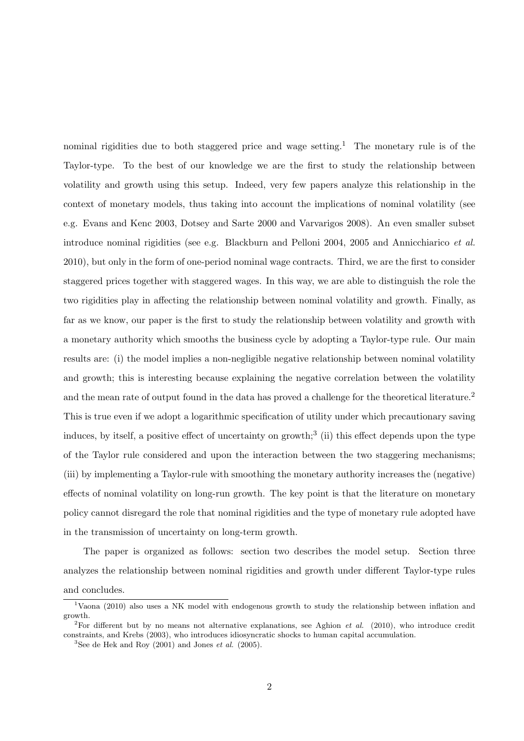nominal rigidities due to both staggered price and wage setting.<sup>1</sup> The monetary rule is of the Taylor-type. To the best of our knowledge we are the first to study the relationship between volatility and growth using this setup. Indeed, very few papers analyze this relationship in the context of monetary models, thus taking into account the implications of nominal volatility (see e.g. Evans and Kenc 2003, Dotsey and Sarte 2000 and Varvarigos 2008). An even smaller subset introduce nominal rigidities (see e.g. Blackburn and Pelloni 2004, 2005 and Annicchiarico et al. 2010), but only in the form of one-period nominal wage contracts. Third, we are the first to consider staggered prices together with staggered wages. In this way, we are able to distinguish the role the two rigidities play in affecting the relationship between nominal volatility and growth. Finally, as far as we know, our paper is the first to study the relationship between volatility and growth with a monetary authority which smooths the business cycle by adopting a Taylor-type rule. Our main results are: (i) the model implies a non-negligible negative relationship between nominal volatility and growth; this is interesting because explaining the negative correlation between the volatility and the mean rate of output found in the data has proved a challenge for the theoretical literature.<sup>2</sup> This is true even if we adopt a logarithmic specification of utility under which precautionary saving induces, by itself, a positive effect of uncertainty on growth;<sup>3</sup> (ii) this effect depends upon the type of the Taylor rule considered and upon the interaction between the two staggering mechanisms; (iii) by implementing a Taylor-rule with smoothing the monetary authority increases the (negative) effects of nominal volatility on long-run growth. The key point is that the literature on monetary policy cannot disregard the role that nominal rigidities and the type of monetary rule adopted have in the transmission of uncertainty on long-term growth.

The paper is organized as follows: section two describes the model setup. Section three analyzes the relationship between nominal rigidities and growth under different Taylor-type rules and concludes.

<sup>&</sup>lt;sup>1</sup>Vaona (2010) also uses a NK model with endogenous growth to study the relationship between inflation and growth.

<sup>&</sup>lt;sup>2</sup>For different but by no means not alternative explanations, see Aghion *et al.* (2010), who introduce credit constraints, and Krebs (2003), who introduces idiosyncratic shocks to human capital accumulation.

<sup>&</sup>lt;sup>3</sup>See de Hek and Roy  $(2001)$  and Jones *et al.*  $(2005)$ .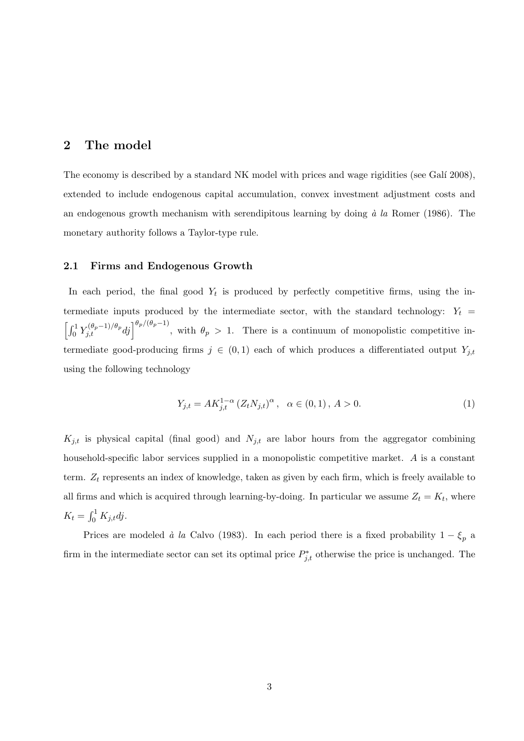## 2 The model

The economy is described by a standard NK model with prices and wage rigidities (see Galí 2008), extended to include endogenous capital accumulation, convex investment adjustment costs and an endogenous growth mechanism with serendipitous learning by doing  $\dot{a}$  la Romer (1986). The monetary authority follows a Taylor-type rule.

#### 2.1 Firms and Endogenous Growth

In each period, the final good  $Y_t$  is produced by perfectly competitive firms, using the intermediate inputs produced by the intermediate sector, with the standard technology:  $Y_t$  =  $\left[\int_0^1 Y_{j,t}^{(\theta_p-1)/\theta_p} dj \right]^{\theta_p/(\theta_p-1)},$  with  $\theta_p > 1$ . There is a continuum of monopolistic competitive intermediate good-producing firms  $j \in (0,1)$  each of which produces a differentiated output  $Y_{j,t}$ using the following technology

$$
Y_{j,t} = AK_{j,t}^{1-\alpha} (Z_t N_{j,t})^{\alpha}, \ \ \alpha \in (0,1), A > 0.
$$
 (1)

 $K_{j,t}$  is physical capital (final good) and  $N_{j,t}$  are labor hours from the aggregator combining household-specific labor services supplied in a monopolistic competitive market. A is a constant term.  $Z_t$  represents an index of knowledge, taken as given by each firm, which is freely available to all firms and which is acquired through learning-by-doing. In particular we assume  $Z_t = K_t$ , where  $K_t = \int_0^1 K_{j,t} d j.$ 

Prices are modeled à la Calvo (1983). In each period there is a fixed probability  $1 - \xi_p$  a firm in the intermediate sector can set its optimal price  $P_{j,t}^*$  otherwise the price is unchanged. The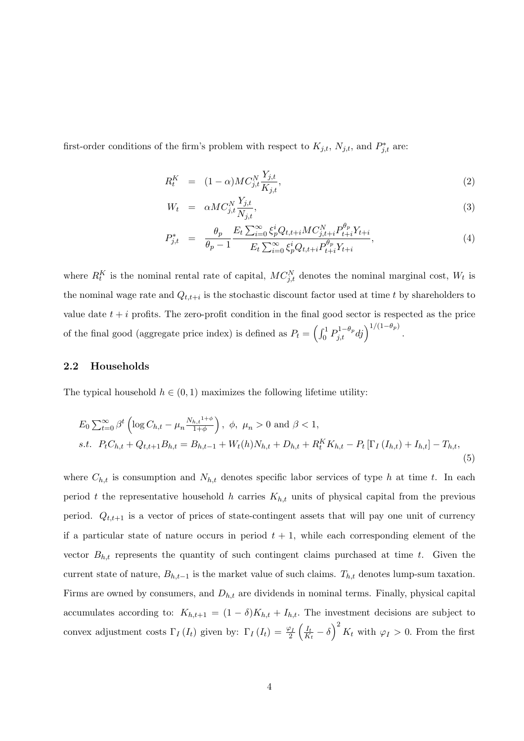first-order conditions of the firm's problem with respect to  $K_{j,t}$ ,  $N_{j,t}$ , and  $P_{j,t}^*$  are:

$$
R_t^K = (1 - \alpha)MC_{j,t}^N \frac{Y_{j,t}}{K_{j,t}},\tag{2}
$$

$$
W_t = \alpha M C_{j,t}^N \frac{Y_{j,t}}{N_{j,t}},\tag{3}
$$

$$
P_{j,t}^{*} = \frac{\theta_p}{\theta_p - 1} \frac{E_t \sum_{i=0}^{\infty} \xi_p^i Q_{t,t+i} M C_{j,t+i}^N P_{t+i}^{\theta_p} Y_{t+i}}{E_t \sum_{i=0}^{\infty} \xi_p^i Q_{t,t+i} P_{t+i}^{\theta_p} Y_{t+i}},
$$
\n(4)

where  $R_t^K$  is the nominal rental rate of capital,  $MC_{j,t}^N$  denotes the nominal marginal cost,  $W_t$  is the nominal wage rate and  $Q_{t,t+i}$  is the stochastic discount factor used at time t by shareholders to value date  $t + i$  profits. The zero-profit condition in the final good sector is respected as the price of the final good (aggregate price index) is defined as  $P_t = \left(\int_0^1 P_{j,t}^{1-\theta_p} dj\right)^{1/(1-\theta_p)}$ .

#### 2.2 Households

The typical household  $h \in (0,1)$  maximizes the following lifetime utility:

$$
E_0 \sum_{t=0}^{\infty} \beta^t \left( \log C_{h,t} - \mu_n \frac{N_{h,t}^{1+\phi}}{1+\phi} \right), \phi, \mu_n > 0 \text{ and } \beta < 1,
$$
  
s.t.  $P_t C_{h,t} + Q_{t,t+1} B_{h,t} = B_{h,t-1} + W_t(h) N_{h,t} + D_{h,t} + R_t^K K_{h,t} - P_t \left[ \Gamma_I \left( I_{h,t} \right) + I_{h,t} \right] - T_{h,t},$  (5)

where  $C_{h,t}$  is consumption and  $N_{h,t}$  denotes specific labor services of type h at time t. In each period t the representative household h carries  $K_{h,t}$  units of physical capital from the previous period.  $Q_{t,t+1}$  is a vector of prices of state-contingent assets that will pay one unit of currency if a particular state of nature occurs in period  $t + 1$ , while each corresponding element of the vector  $B_{h,t}$  represents the quantity of such contingent claims purchased at time t. Given the current state of nature,  $B_{h,t-1}$  is the market value of such claims.  $T_{h,t}$  denotes lump-sum taxation. Firms are owned by consumers, and  $D_{h,t}$  are dividends in nominal terms. Finally, physical capital accumulates according to:  $K_{h,t+1} = (1 - \delta)K_{h,t} + I_{h,t}$ . The investment decisions are subject to convex adjustment costs  $\Gamma_I(I_t)$  given by:  $\Gamma_I(I_t) = \frac{\varphi_I}{2} \left( \frac{I_t}{K_t} \right)$  $\frac{I_t}{K_t} - \delta$   $\bigg)^2 K_t$  with  $\varphi_I > 0$ . From the first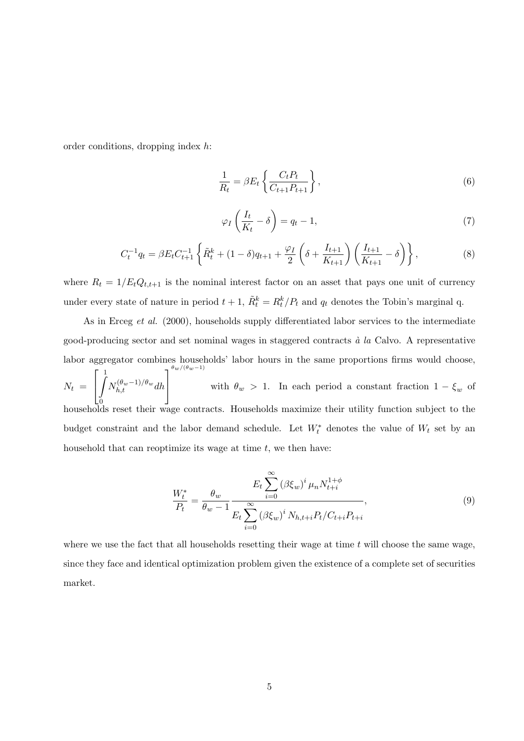order conditions, dropping index h:

$$
\frac{1}{R_t} = \beta E_t \left\{ \frac{C_t P_t}{C_{t+1} P_{t+1}} \right\},\tag{6}
$$

$$
\varphi_I\left(\frac{I_t}{K_t} - \delta\right) = q_t - 1,\tag{7}
$$

$$
C_t^{-1}q_t = \beta E_t C_{t+1}^{-1} \left\{ \tilde{R}_t^k + (1 - \delta)q_{t+1} + \frac{\varphi_I}{2} \left( \delta + \frac{I_{t+1}}{K_{t+1}} \right) \left( \frac{I_{t+1}}{K_{t+1}} - \delta \right) \right\},\tag{8}
$$

where  $R_t = 1/E_tQ_{t,t+1}$  is the nominal interest factor on an asset that pays one unit of currency under every state of nature in period  $t + 1$ ,  $\tilde{R}_t^k = R_t^k / P_t$  and  $q_t$  denotes the Tobin's marginal q.

As in Erceg et al. (2000), households supply differentiated labor services to the intermediate good-producing sector and set nominal wages in staggered contracts  $\dot{a}$  la Calvo. A representative labor aggregator combines households' labor hours in the same proportions firms would choose,  $N_t =$  $\lceil$  $\overline{1}$  $\frac{1}{\sqrt{2}}$ 0 households reset their wage contracts. Households maximize their utility function subject to the  $N_{h,t}^{(\theta_w-1)/\theta_w}dh$ 1  $\overline{a}$  $\theta_w/(\theta_w-1)$ with  $\theta_w > 1$ . In each period a constant fraction  $1 - \xi_w$  of budget constraint and the labor demand schedule. Let  $W_t^*$  denotes the value of  $W_t$  set by an household that can reoptimize its wage at time  $t$ , we then have:

$$
\frac{W_t^*}{P_t} = \frac{\theta_w}{\theta_w - 1} \frac{E_t \sum_{i=0}^{\infty} (\beta \xi_w)^i \mu_n N_{t+i}^{1+\phi}}{E_t \sum_{i=0}^{\infty} (\beta \xi_w)^i N_{h,t+i} P_t / C_{t+i} P_{t+i}},
$$
\n(9)

where we use the fact that all households resetting their wage at time  $t$  will choose the same wage, since they face and identical optimization problem given the existence of a complete set of securities market.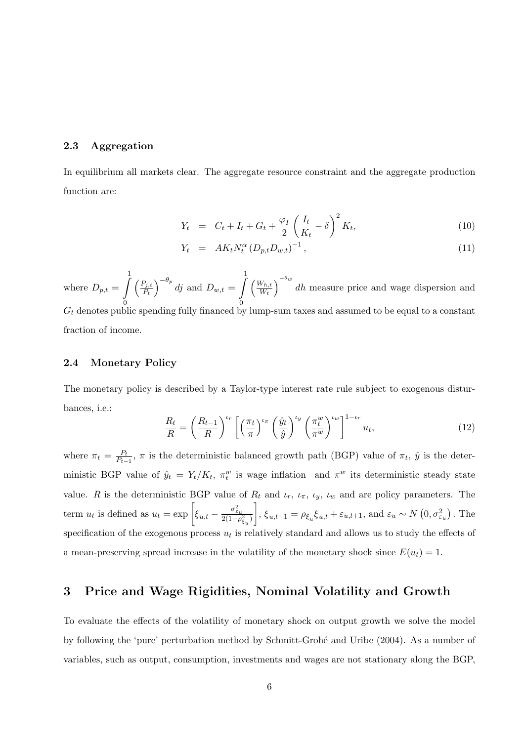#### 2.3 Aggregation

In equilibrium all markets clear. The aggregate resource constraint and the aggregate production function are:

$$
Y_t = C_t + I_t + G_t + \frac{\varphi_I}{2} \left(\frac{I_t}{K_t} - \delta\right)^2 K_t, \tag{10}
$$

$$
Y_t = AK_t N_t^{\alpha} (D_{p,t} D_{w,t})^{-1}, \qquad (11)
$$

where  $D_{p,t} = \int_0^1$ 0  $\left( \frac{P_{j,t}}{P_{j,t}} \right)$  $\left(\frac{P_{j,t}}{P_t}\right)^{-\theta_p}$  dj and  $D_{w,t} = \int_0^1$ 0  $\left(\frac{W_{h,t}}{W}\right)$  $\frac{W_{h,t}}{W_t}\bigg)^{-\theta_w}$  dh measure price and wage dispersion and  $G_t$  denotes public spending fully financed by lump-sum taxes and assumed to be equal to a constant fraction of income.

#### 2.4 Monetary Policy

The monetary policy is described by a Taylor-type interest rate rule subject to exogenous disturbances, i.e.:

$$
\frac{R_t}{R} = \left(\frac{R_{t-1}}{R}\right)^{\iota_r} \left[ \left(\frac{\pi_t}{\pi}\right)^{\iota_{\pi}} \left(\frac{\hat{y}_t}{\hat{y}}\right)^{\iota_y} \left(\frac{\pi_t^w}{\pi^w}\right)^{\iota_w} \right]^{1-\iota_r} u_t,\tag{12}
$$

where  $\pi_t = \frac{P_t}{P_{t-}}$  $\frac{P_t}{P_{t-1}}$ ,  $\pi$  is the deterministic balanced growth path (BGP) value of  $\pi_t$ ,  $\hat{y}$  is the deterministic BGP value of  $\hat{y}_t = Y_t/K_t$ ,  $\pi_t^w$  is wage inflation and  $\pi^w$  its deterministic steady state value. R is the deterministic BGP value of  $R_t$  and  $\iota_r$ ,  $\iota_{\pi}$ ,  $\iota_y$ ,  $\iota_w$  and are policy parameters. The term  $u_t$  is defined as  $u_t = \exp\left[\xi_{u,t} - \frac{\sigma_{\varepsilon_u}^2}{2(1-\rho_{\xi_u}^2)}\right]$  $\Big], \xi_{u,t+1} = \rho_{\xi_u} \xi_{u,t} + \varepsilon_{u,t+1}$ , and  $\varepsilon_u \sim N(0, \sigma_{\varepsilon_u}^2)$ . The specification of the exogenous process  $u_t$  is relatively standard and allows us to study the effects of a mean-preserving spread increase in the volatility of the monetary shock since  $E(u_t) = 1$ .

## 3 Price and Wage Rigidities, Nominal Volatility and Growth

To evaluate the effects of the volatility of monetary shock on output growth we solve the model by following the 'pure' perturbation method by Schmitt-Grohé and Uribe (2004). As a number of variables, such as output, consumption, investments and wages are not stationary along the BGP,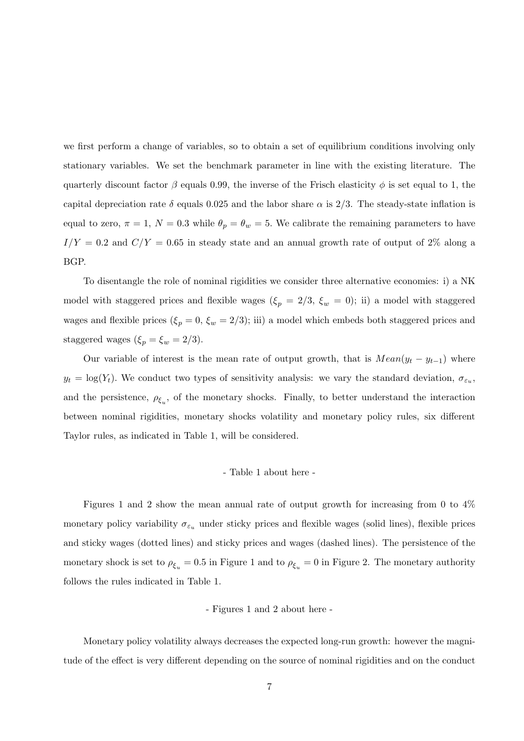we first perform a change of variables, so to obtain a set of equilibrium conditions involving only stationary variables. We set the benchmark parameter in line with the existing literature. The quarterly discount factor  $\beta$  equals 0.99, the inverse of the Frisch elasticity  $\phi$  is set equal to 1, the capital depreciation rate  $\delta$  equals 0.025 and the labor share  $\alpha$  is 2/3. The steady-state inflation is equal to zero,  $\pi = 1$ ,  $N = 0.3$  while  $\theta_p = \theta_w = 5$ . We calibrate the remaining parameters to have  $I/Y = 0.2$  and  $C/Y = 0.65$  in steady state and an annual growth rate of output of 2% along a BGP.

To disentangle the role of nominal rigidities we consider three alternative economies: i) a NK model with staggered prices and flexible wages ( $\xi_p = 2/3$ ,  $\xi_w = 0$ ); ii) a model with staggered wages and flexible prices  $(\xi_p = 0, \xi_w = 2/3)$ ; iii) a model which embeds both staggered prices and staggered wages ( $\xi_p = \xi_w = 2/3$ ).

Our variable of interest is the mean rate of output growth, that is  $Mean(y_t - y_{t-1})$  where  $y_t = \log(Y_t)$ . We conduct two types of sensitivity analysis: we vary the standard deviation,  $\sigma_{\varepsilon_u}$ , and the persistence,  $\rho_{\xi_u}$ , of the monetary shocks. Finally, to better understand the interaction between nominal rigidities, monetary shocks volatility and monetary policy rules, six different Taylor rules, as indicated in Table 1, will be considered.

#### - Table 1 about here -

Figures 1 and 2 show the mean annual rate of output growth for increasing from 0 to 4% monetary policy variability  $\sigma_{\varepsilon_u}$  under sticky prices and flexible wages (solid lines), flexible prices and sticky wages (dotted lines) and sticky prices and wages (dashed lines). The persistence of the monetary shock is set to  $\rho_{\xi_u} = 0.5$  in Figure 1 and to  $\rho_{\xi_u} = 0$  in Figure 2. The monetary authority follows the rules indicated in Table 1.

#### - Figures 1 and 2 about here -

Monetary policy volatility always decreases the expected long-run growth: however the magnitude of the effect is very different depending on the source of nominal rigidities and on the conduct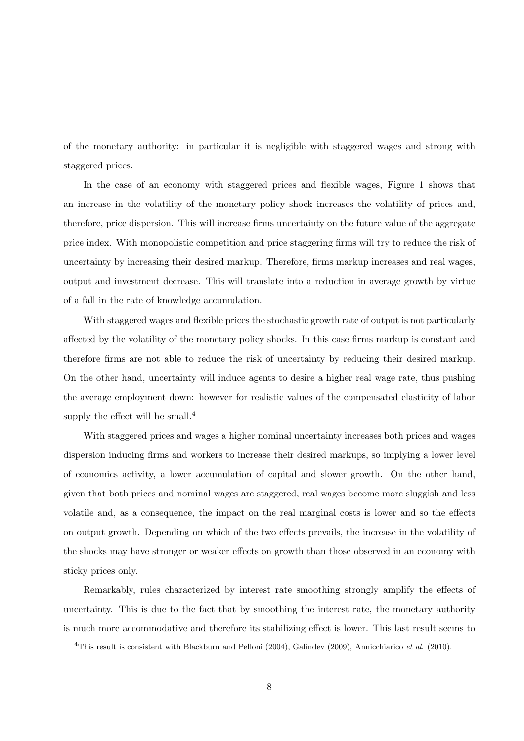of the monetary authority: in particular it is negligible with staggered wages and strong with staggered prices.

In the case of an economy with staggered prices and flexible wages, Figure 1 shows that an increase in the volatility of the monetary policy shock increases the volatility of prices and, therefore, price dispersion. This will increase firms uncertainty on the future value of the aggregate price index. With monopolistic competition and price staggering firms will try to reduce the risk of uncertainty by increasing their desired markup. Therefore, firms markup increases and real wages, output and investment decrease. This will translate into a reduction in average growth by virtue of a fall in the rate of knowledge accumulation.

With staggered wages and flexible prices the stochastic growth rate of output is not particularly affected by the volatility of the monetary policy shocks. In this case firms markup is constant and therefore firms are not able to reduce the risk of uncertainty by reducing their desired markup. On the other hand, uncertainty will induce agents to desire a higher real wage rate, thus pushing the average employment down: however for realistic values of the compensated elasticity of labor supply the effect will be small. $4$ 

With staggered prices and wages a higher nominal uncertainty increases both prices and wages dispersion inducing firms and workers to increase their desired markups, so implying a lower level of economics activity, a lower accumulation of capital and slower growth. On the other hand, given that both prices and nominal wages are staggered, real wages become more sluggish and less volatile and, as a consequence, the impact on the real marginal costs is lower and so the effects on output growth. Depending on which of the two effects prevails, the increase in the volatility of the shocks may have stronger or weaker effects on growth than those observed in an economy with sticky prices only.

Remarkably, rules characterized by interest rate smoothing strongly amplify the effects of uncertainty. This is due to the fact that by smoothing the interest rate, the monetary authority is much more accommodative and therefore its stabilizing effect is lower. This last result seems to

<sup>&</sup>lt;sup>4</sup>This result is consistent with Blackburn and Pelloni (2004), Galindev (2009), Annicchiarico et al. (2010).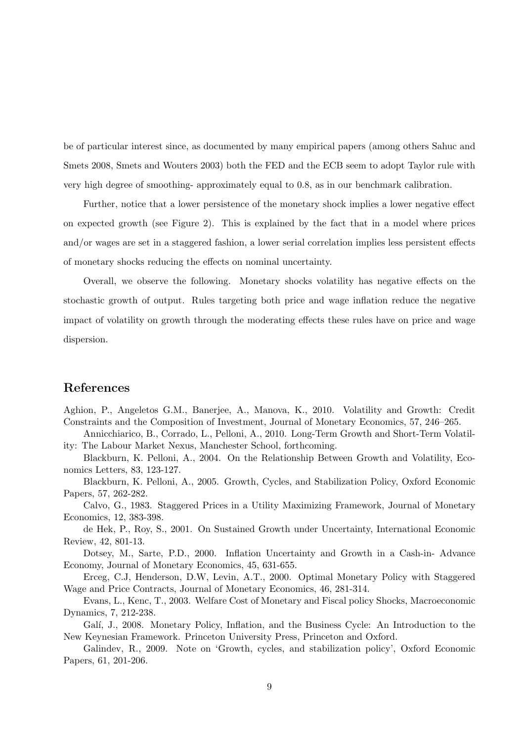be of particular interest since, as documented by many empirical papers (among others Sahuc and Smets 2008, Smets and Wouters 2003) both the FED and the ECB seem to adopt Taylor rule with very high degree of smoothing- approximately equal to 0.8, as in our benchmark calibration.

Further, notice that a lower persistence of the monetary shock implies a lower negative effect on expected growth (see Figure 2). This is explained by the fact that in a model where prices and/or wages are set in a staggered fashion, a lower serial correlation implies less persistent effects of monetary shocks reducing the effects on nominal uncertainty.

Overall, we observe the following. Monetary shocks volatility has negative effects on the stochastic growth of output. Rules targeting both price and wage inflation reduce the negative impact of volatility on growth through the moderating effects these rules have on price and wage dispersion.

### References

Aghion, P., Angeletos G.M., Banerjee, A., Manova, K., 2010. Volatility and Growth: Credit Constraints and the Composition of Investment, Journal of Monetary Economics, 57, 246–265.

Annicchiarico, B., Corrado, L., Pelloni, A., 2010. Long-Term Growth and Short-Term Volatility: The Labour Market Nexus, Manchester School, forthcoming.

Blackburn, K. Pelloni, A., 2004. On the Relationship Between Growth and Volatility, Economics Letters, 83, 123-127.

Blackburn, K. Pelloni, A., 2005. Growth, Cycles, and Stabilization Policy, Oxford Economic Papers, 57, 262-282.

Calvo, G., 1983. Staggered Prices in a Utility Maximizing Framework, Journal of Monetary Economics, 12, 383-398.

de Hek, P., Roy, S., 2001. On Sustained Growth under Uncertainty, International Economic Review, 42, 801-13.

Dotsey, M., Sarte, P.D., 2000. Inflation Uncertainty and Growth in a Cash-in- Advance Economy, Journal of Monetary Economics, 45, 631-655.

Erceg, C.J, Henderson, D.W, Levin, A.T., 2000. Optimal Monetary Policy with Staggered Wage and Price Contracts, Journal of Monetary Economics, 46, 281-314.

Evans, L., Kenc, T., 2003. Welfare Cost of Monetary and Fiscal policy Shocks, Macroeconomic Dynamics, 7, 212-238.

Galí, J., 2008. Monetary Policy, Inflation, and the Business Cycle: An Introduction to the New Keynesian Framework. Princeton University Press, Princeton and Oxford.

Galindev, R., 2009. Note on 'Growth, cycles, and stabilization policy', Oxford Economic Papers, 61, 201-206.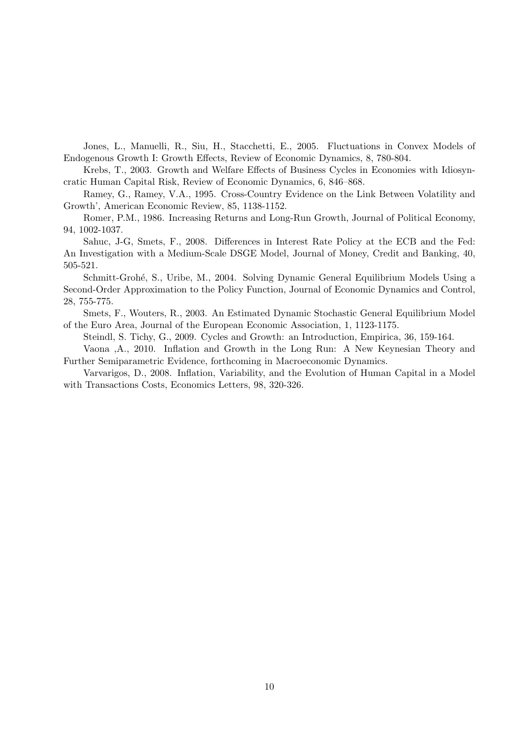Jones, L., Manuelli, R., Siu, H., Stacchetti, E., 2005. Fluctuations in Convex Models of Endogenous Growth I: Growth Effects, Review of Economic Dynamics, 8, 780-804.

Krebs, T., 2003. Growth and Welfare Effects of Business Cycles in Economies with Idiosyncratic Human Capital Risk, Review of Economic Dynamics, 6, 846–868.

Ramey, G., Ramey, V.A., 1995. Cross-Country Evidence on the Link Between Volatility and Growth', American Economic Review, 85, 1138-1152.

Romer, P.M., 1986. Increasing Returns and Long-Run Growth, Journal of Political Economy, 94, 1002-1037.

Sahuc, J-G, Smets, F., 2008. Differences in Interest Rate Policy at the ECB and the Fed: An Investigation with a Medium-Scale DSGE Model, Journal of Money, Credit and Banking, 40, 505-521.

Schmitt-Grohé, S., Uribe, M., 2004. Solving Dynamic General Equilibrium Models Using a Second-Order Approximation to the Policy Function, Journal of Economic Dynamics and Control, 28, 755-775.

Smets, F., Wouters, R., 2003. An Estimated Dynamic Stochastic General Equilibrium Model of the Euro Area, Journal of the European Economic Association, 1, 1123-1175.

Steindl, S. Tichy, G., 2009. Cycles and Growth: an Introduction, Empirica, 36, 159-164.

Vaona ,A., 2010. Inflation and Growth in the Long Run: A New Keynesian Theory and Further Semiparametric Evidence, forthcoming in Macroeconomic Dynamics.

Varvarigos, D., 2008. Inflation, Variability, and the Evolution of Human Capital in a Model with Transactions Costs, Economics Letters, 98, 320-326.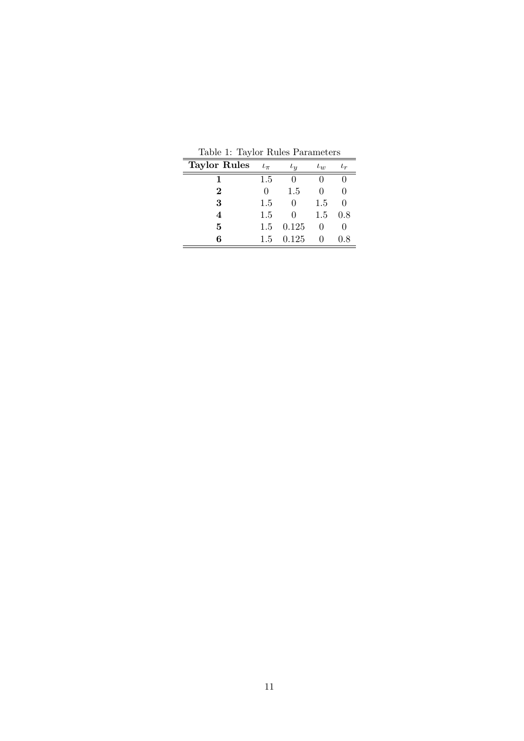| <b>Taylor Rules</b> | $\iota_{\pi}$    | $\iota_y$        | $\iota_w$ | $\iota_r$ |
|---------------------|------------------|------------------|-----------|-----------|
|                     | 1.5              |                  |           |           |
| $\bf{2}$            | $\left( \right)$ | 1.5              | 0         | 0         |
| 3                   | 1.5              | 0                | 1.5       |           |
| 4                   | 1.5              | $\left( \right)$ | 1.5       | 0.8       |
| 5                   | 1.5              | 0.125            |           |           |
| 6                   | 1.5              | 0.125            |           | 0.8       |

Table 1: Taylor Rules Parameters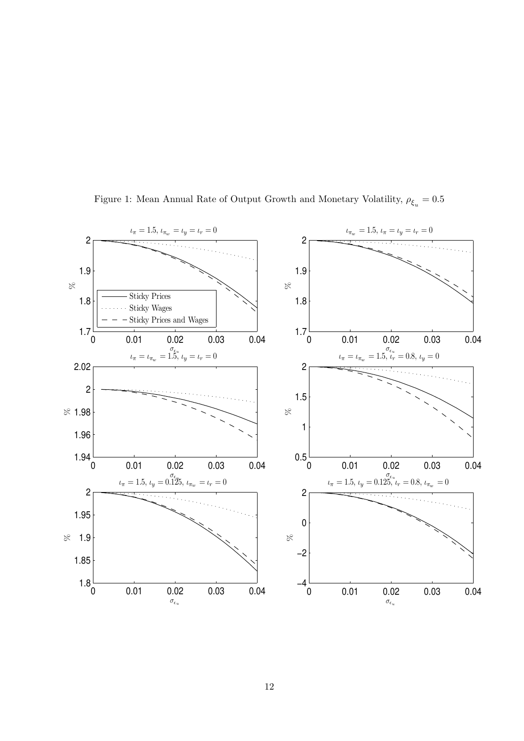

Figure 1: Mean Annual Rate of Output Growth and Monetary Volatility,  $\rho_{\xi_u} = 0.5$